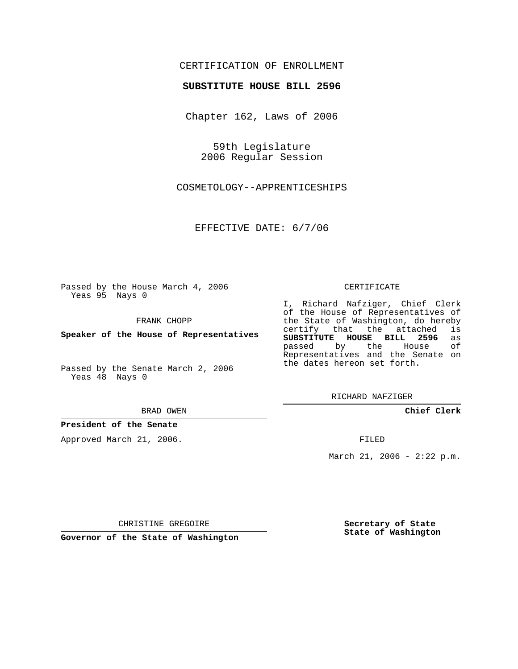# CERTIFICATION OF ENROLLMENT

#### **SUBSTITUTE HOUSE BILL 2596**

Chapter 162, Laws of 2006

59th Legislature 2006 Regular Session

COSMETOLOGY--APPRENTICESHIPS

EFFECTIVE DATE: 6/7/06

Passed by the House March 4, 2006 Yeas 95 Nays 0

FRANK CHOPP

**Speaker of the House of Representatives**

Passed by the Senate March 2, 2006 Yeas 48 Nays 0

BRAD OWEN

## **President of the Senate**

Approved March 21, 2006.

#### CERTIFICATE

I, Richard Nafziger, Chief Clerk of the House of Representatives of the State of Washington, do hereby<br>certify that the attached is certify that the attached **SUBSTITUTE HOUSE BILL 2596** as passed by the House Representatives and the Senate on the dates hereon set forth.

RICHARD NAFZIGER

**Chief Clerk**

FILED

March 21, 2006 - 2:22 p.m.

CHRISTINE GREGOIRE

**Governor of the State of Washington**

**Secretary of State State of Washington**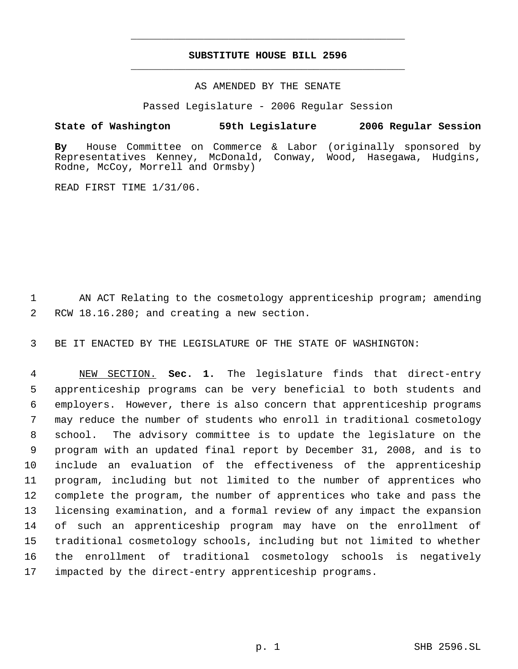# **SUBSTITUTE HOUSE BILL 2596** \_\_\_\_\_\_\_\_\_\_\_\_\_\_\_\_\_\_\_\_\_\_\_\_\_\_\_\_\_\_\_\_\_\_\_\_\_\_\_\_\_\_\_\_\_

\_\_\_\_\_\_\_\_\_\_\_\_\_\_\_\_\_\_\_\_\_\_\_\_\_\_\_\_\_\_\_\_\_\_\_\_\_\_\_\_\_\_\_\_\_

## AS AMENDED BY THE SENATE

Passed Legislature - 2006 Regular Session

# **State of Washington 59th Legislature 2006 Regular Session**

**By** House Committee on Commerce & Labor (originally sponsored by Representatives Kenney, McDonald, Conway, Wood, Hasegawa, Hudgins, Rodne, McCoy, Morrell and Ormsby)

READ FIRST TIME 1/31/06.

 AN ACT Relating to the cosmetology apprenticeship program; amending RCW 18.16.280; and creating a new section.

BE IT ENACTED BY THE LEGISLATURE OF THE STATE OF WASHINGTON:

 NEW SECTION. **Sec. 1.** The legislature finds that direct-entry apprenticeship programs can be very beneficial to both students and employers. However, there is also concern that apprenticeship programs may reduce the number of students who enroll in traditional cosmetology school. The advisory committee is to update the legislature on the program with an updated final report by December 31, 2008, and is to include an evaluation of the effectiveness of the apprenticeship program, including but not limited to the number of apprentices who complete the program, the number of apprentices who take and pass the licensing examination, and a formal review of any impact the expansion of such an apprenticeship program may have on the enrollment of traditional cosmetology schools, including but not limited to whether the enrollment of traditional cosmetology schools is negatively impacted by the direct-entry apprenticeship programs.